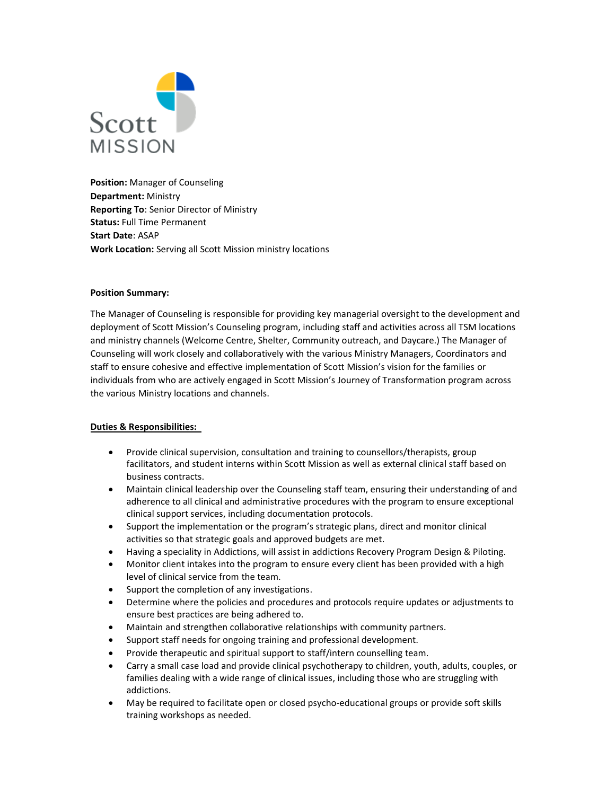

**Position:** Manager of Counseling **Department:** Ministry **Reporting To**: Senior Director of Ministry **Status:** Full Time Permanent **Start Date**: ASAP **Work Location:** Serving all Scott Mission ministry locations

## **Position Summary:**

The Manager of Counseling is responsible for providing key managerial oversight to the development and deployment of Scott Mission's Counseling program, including staff and activities across all TSM locations and ministry channels (Welcome Centre, Shelter, Community outreach, and Daycare.) The Manager of Counseling will work closely and collaboratively with the various Ministry Managers, Coordinators and staff to ensure cohesive and effective implementation of Scott Mission's vision for the families or individuals from who are actively engaged in Scott Mission's Journey of Transformation program across the various Ministry locations and channels.

## **Duties & Responsibilities:**

- Provide clinical supervision, consultation and training to counsellors/therapists, group facilitators, and student interns within Scott Mission as well as external clinical staff based on business contracts.
- Maintain clinical leadership over the Counseling staff team, ensuring their understanding of and adherence to all clinical and administrative procedures with the program to ensure exceptional clinical support services, including documentation protocols.
- Support the implementation or the program's strategic plans, direct and monitor clinical activities so that strategic goals and approved budgets are met.
- Having a speciality in Addictions, will assist in addictions Recovery Program Design & Piloting.
- Monitor client intakes into the program to ensure every client has been provided with a high level of clinical service from the team.
- Support the completion of any investigations.
- Determine where the policies and procedures and protocols require updates or adjustments to ensure best practices are being adhered to.
- Maintain and strengthen collaborative relationships with community partners.
- Support staff needs for ongoing training and professional development.
- Provide therapeutic and spiritual support to staff/intern counselling team.
- Carry a small case load and provide clinical psychotherapy to children, youth, adults, couples, or families dealing with a wide range of clinical issues, including those who are struggling with addictions.
- May be required to facilitate open or closed psycho-educational groups or provide soft skills training workshops as needed.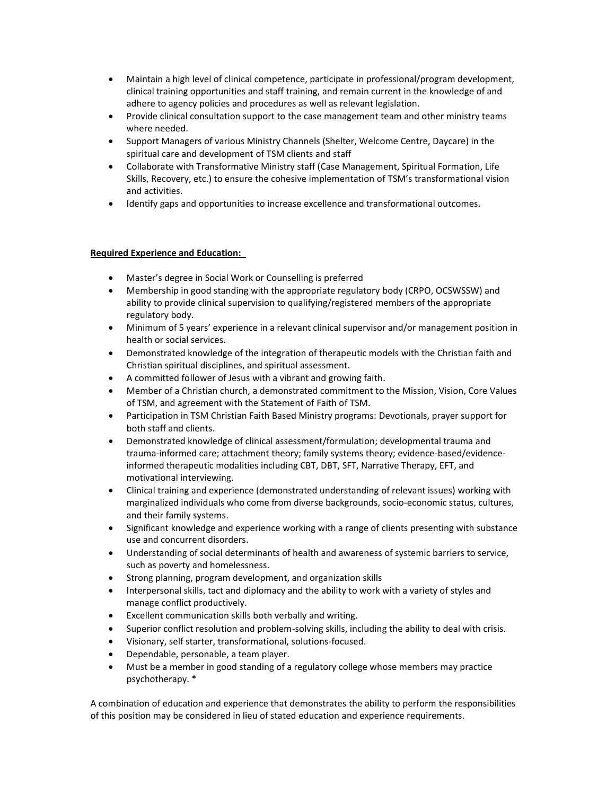- Maintain a high level of clinical competence, participate in professional/program development, clinical training opportunities and staff training, and remain current in the knowledge of and adhere to agency policies and procedures as well as relevant legislation.
- Provide clinical consultation support to the case management team and other ministry teams where needed.
- Support Managers of various Ministry Channels (Shelter, Welcome Centre, Daycare) in the spiritual care and development of TSM clients and staff
- Collaborate with Transformative Ministry staff (Case Management, Spiritual Formation, Life Skills, Recovery, etc.) to ensure the cohesive implementation of TSM's transformational vision and activities.
- Identify gaps and opportunities to increase excellence and transformational outcomes.

## **Required Experience and Education:**

- Master's degree in Social Work or Counselling is preferred
- Membership in good standing with the appropriate regulatory body (CRPO, OCSWSSW) and ability to provide clinical supervision to qualifying/registered members of the appropriate regulatory body.
- Minimum of 5 years' experience in a relevant clinical supervisor and/or management position in health or social services.
- Demonstrated knowledge of the integration of therapeutic models with the Christian faith and Christian spiritual disciplines, and spiritual assessment.
- A committed follower of Jesus with a vibrant and growing faith.
- Member of a Christian church, a demonstrated commitment to the Mission, Vision, Core Values of TSM, and agreement with the Statement of Faith of TSM.
- Participation in TSM Christian Faith Based Ministry programs: Devotionals, prayer support for both staff and clients.
- Demonstrated knowledge of clinical assessment/formulation; developmental trauma and trauma-informed care; attachment theory; family systems theory; evidence-based/evidenceinformed therapeutic modalities including CBT, DBT, SFT, Narrative Therapy, EFT, and motivational interviewing.
- Clinical training and experience (demonstrated understanding of relevant issues) working with marginalized individuals who come from diverse backgrounds, socio-economic status, cultures, and their family systems.
- Significant knowledge and experience working with a range of clients presenting with substance use and concurrent disorders.
- Understanding of social determinants of health and awareness of systemic barriers to service, such as poverty and homelessness.
- Strong planning, program development, and organization skills
- Interpersonal skills, tact and diplomacy and the ability to work with a variety of styles and manage conflict productively.
- Excellent communication skills both verbally and writing.
- Superior conflict resolution and problem-solving skills, including the ability to deal with crisis.
- Visionary, self starter, transformational, solutions-focused.
- Dependable, personable, a team player.
- Must be a member in good standing of a regulatory college whose members may practice psychotherapy. \*

A combination of education and experience that demonstrates the ability to perform the responsibilities of this position may be considered in lieu of stated education and experience requirements.